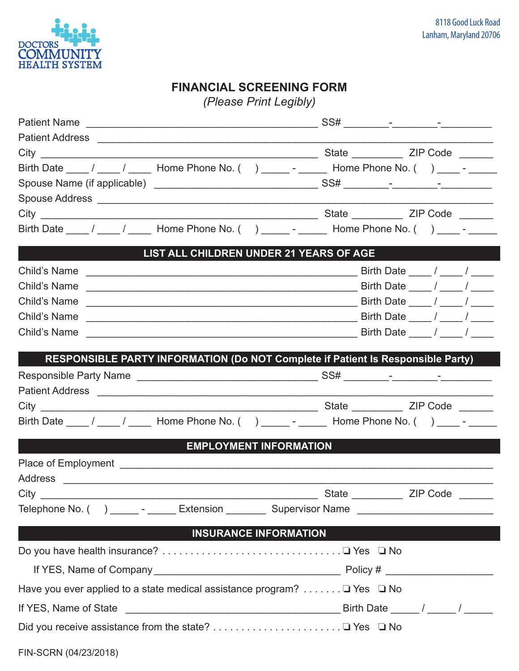

## **FINANCIAL SCREENING FORM**

*(Please Print Legibly)*

| Birth Date ____ / ____ / _____ Home Phone No. () ______ - ______ Home Phone No. () ____ - _____     |                                 |
|-----------------------------------------------------------------------------------------------------|---------------------------------|
|                                                                                                     |                                 |
|                                                                                                     |                                 |
|                                                                                                     |                                 |
|                                                                                                     |                                 |
| LIST ALL CHILDREN UNDER 21 YEARS OF AGE                                                             |                                 |
|                                                                                                     |                                 |
| Child's Name $\frac{1}{2}$ Birth Date $\frac{1}{2}$ / $\frac{1}{2}$                                 |                                 |
| Child's Name                                                                                        |                                 |
| Child's Name $\frac{1}{2}$ Birth Date $\frac{1}{2}$ / $\frac{1}{2}$                                 |                                 |
| Child's Name<br><u> 1989 - Johann Barn, fransk politik (d. 1989)</u>                                | Birth Date $\frac{1}{\sqrt{2}}$ |
| RESPONSIBLE PARTY INFORMATION (Do NOT Complete if Patient Is Responsible Party)                     |                                 |
|                                                                                                     |                                 |
|                                                                                                     |                                 |
|                                                                                                     |                                 |
| Birth Date ____ / ____ / _____ Home Phone No. () ______ - ______ Home Phone No. () ____ - ______    |                                 |
| <b>EMPLOYMENT INFORMATION</b>                                                                       |                                 |
|                                                                                                     |                                 |
|                                                                                                     |                                 |
| Telephone No. () _______ - _______ Extension __________ Supervisor Name ___________________________ |                                 |
| <b>Example 18 INSURANCE INFORMATION</b>                                                             |                                 |
|                                                                                                     |                                 |
|                                                                                                     |                                 |
| Have you ever applied to a state medical assistance program? $\Box$ Yes $\Box$ No                   |                                 |
|                                                                                                     |                                 |
|                                                                                                     |                                 |
| FIN-SCRN (04/23/2018)                                                                               |                                 |